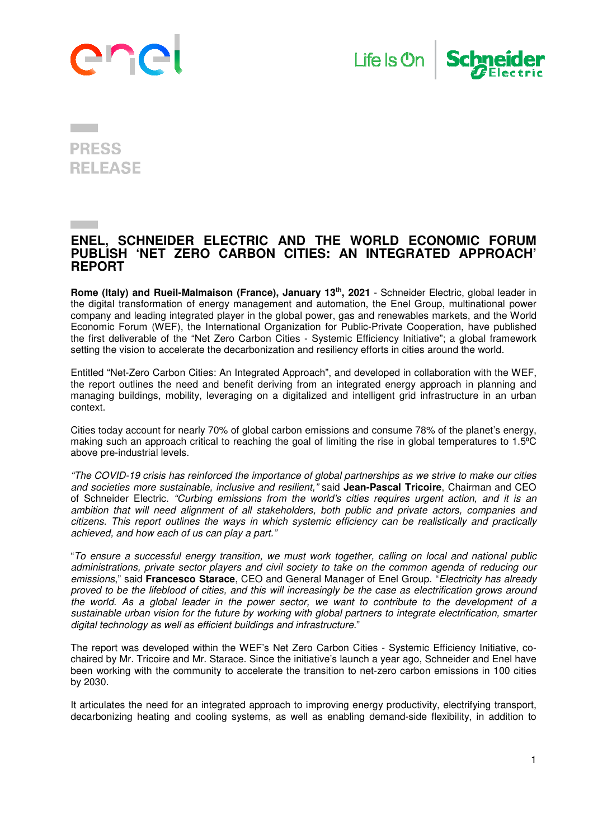





## **PRESS RELEASE**

## **ENEL, SCHNEIDER ELECTRIC AND THE WORLD ECONOMIC FORUM PUBLISH 'NET ZERO CARBON CITIES: AN INTEGRATED APPROACH' REPORT**

**Rome (Italy) and Rueil-Malmaison (France), January 13th, 2021** - Schneider Electric, global leader in the digital transformation of energy management and automation, the Enel Group, multinational power company and leading integrated player in the global power, gas and renewables markets, and the World Economic Forum (WEF), the International Organization for Public-Private Cooperation, have published the first deliverable of the "Net Zero Carbon Cities - Systemic Efficiency Initiative"; a global framework setting the vision to accelerate the decarbonization and resiliency efforts in cities around the world.

Entitled "Net-Zero Carbon Cities: An Integrated Approach", and developed in collaboration with the WEF, the report outlines the need and benefit deriving from an integrated energy approach in planning and managing buildings, mobility, leveraging on a digitalized and intelligent grid infrastructure in an urban context.

Cities today account for nearly 70% of global carbon emissions and consume 78% of the planet's energy, making such an approach critical to reaching the goal of limiting the rise in global temperatures to 1.5°C above pre-industrial levels.

"The COVID-19 crisis has reinforced the importance of global partnerships as we strive to make our cities and societies more sustainable, inclusive and resilient," said **Jean-Pascal Tricoire**, Chairman and CEO of Schneider Electric. "Curbing emissions from the world's cities requires urgent action, and it is an ambition that will need alignment of all stakeholders, both public and private actors, companies and citizens. This report outlines the ways in which systemic efficiency can be realistically and practically achieved, and how each of us can play a part."

"To ensure a successful energy transition, we must work together, calling on local and national public administrations, private sector players and civil society to take on the common agenda of reducing our emissions," said **Francesco Starace**, CEO and General Manager of Enel Group. "Electricity has already proved to be the lifeblood of cities, and this will increasingly be the case as electrification grows around the world. As a global leader in the power sector, we want to contribute to the development of a sustainable urban vision for the future by working with global partners to integrate electrification, smarter digital technology as well as efficient buildings and infrastructure."

The report was developed within the WEF's Net Zero Carbon Cities - Systemic Efficiency Initiative, cochaired by Mr. Tricoire and Mr. Starace. Since the initiative's launch a year ago, Schneider and Enel have been working with the community to accelerate the transition to net-zero carbon emissions in 100 cities by 2030.

It articulates the need for an integrated approach to improving energy productivity, electrifying transport, decarbonizing heating and cooling systems, as well as enabling demand-side flexibility, in addition to